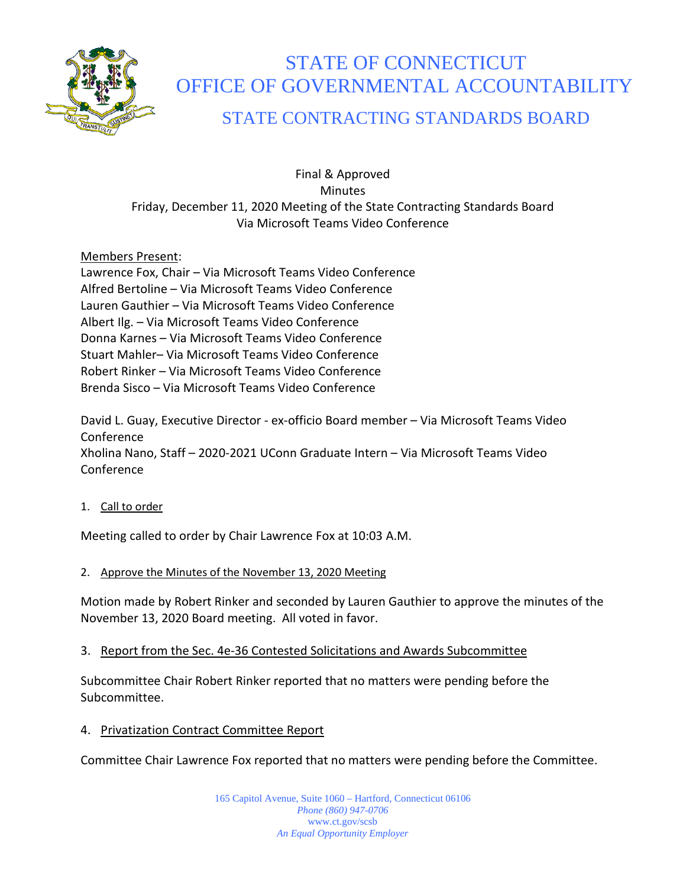

# STATE OF CONNECTICUT OFFICE OF GOVERNMENTAL ACCOUNTABILITY

# STATE CONTRACTING STANDARDS BOARD

Final & Approved **Minutes** Friday, December 11, 2020 Meeting of the State Contracting Standards Board Via Microsoft Teams Video Conference

# Members Present:

Lawrence Fox, Chair – Via Microsoft Teams Video Conference Alfred Bertoline – Via Microsoft Teams Video Conference Lauren Gauthier – Via Microsoft Teams Video Conference Albert Ilg. – Via Microsoft Teams Video Conference Donna Karnes – Via Microsoft Teams Video Conference Stuart Mahler– Via Microsoft Teams Video Conference Robert Rinker – Via Microsoft Teams Video Conference Brenda Sisco – Via Microsoft Teams Video Conference

David L. Guay, Executive Director - ex-officio Board member – Via Microsoft Teams Video Conference Xholina Nano, Staff – 2020-2021 UConn Graduate Intern – Via Microsoft Teams Video Conference

1. Call to order

Meeting called to order by Chair Lawrence Fox at 10:03 A.M.

# 2. Approve the Minutes of the November 13, 2020 Meeting

Motion made by Robert Rinker and seconded by Lauren Gauthier to approve the minutes of the November 13, 2020 Board meeting. All voted in favor.

# 3. Report from the Sec. 4e-36 Contested Solicitations and Awards Subcommittee

Subcommittee Chair Robert Rinker reported that no matters were pending before the Subcommittee.

4. Privatization Contract Committee Report

Committee Chair Lawrence Fox reported that no matters were pending before the Committee.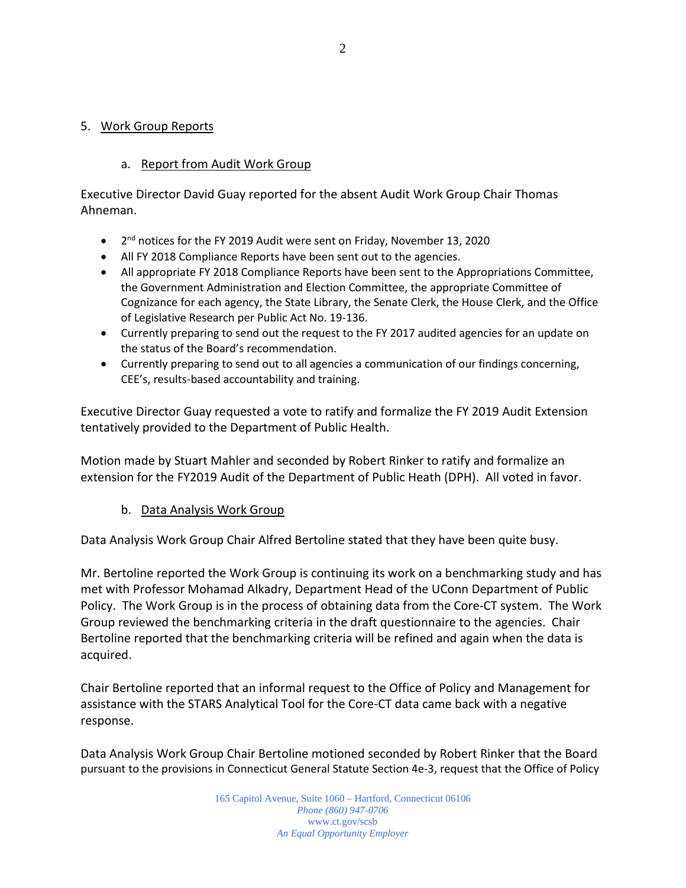#### 5. Work Group Reports

#### a. Report from Audit Work Group

Executive Director David Guay reported for the absent Audit Work Group Chair Thomas Ahneman.

- $\bullet$   $2^{nd}$  notices for the FY 2019 Audit were sent on Friday, November 13, 2020
- All FY 2018 Compliance Reports have been sent out to the agencies.
- All appropriate FY 2018 Compliance Reports have been sent to the Appropriations Committee, the Government Administration and Election Committee, the appropriate Committee of Cognizance for each agency, the State Library, the Senate Clerk, the House Clerk, and the Office of Legislative Research per Public Act No. 19-136.
- Currently preparing to send out the request to the FY 2017 audited agencies for an update on the status of the Board's recommendation.
- Currently preparing to send out to all agencies a communication of our findings concerning, CEE's, results-based accountability and training.

Executive Director Guay requested a vote to ratify and formalize the FY 2019 Audit Extension tentatively provided to the Department of Public Health.

Motion made by Stuart Mahler and seconded by Robert Rinker to ratify and formalize an extension for the FY2019 Audit of the Department of Public Heath (DPH). All voted in favor.

#### b. Data Analysis Work Group

Data Analysis Work Group Chair Alfred Bertoline stated that they have been quite busy.

Mr. Bertoline reported the Work Group is continuing its work on a benchmarking study and has met with Professor Mohamad Alkadry, Department Head of the UConn Department of Public Policy. The Work Group is in the process of obtaining data from the Core-CT system. The Work Group reviewed the benchmarking criteria in the draft questionnaire to the agencies. Chair Bertoline reported that the benchmarking criteria will be refined and again when the data is acquired.

Chair Bertoline reported that an informal request to the Office of Policy and Management for assistance with the STARS Analytical Tool for the Core-CT data came back with a negative response.

Data Analysis Work Group Chair Bertoline motioned seconded by Robert Rinker that the Board pursuant to the provisions in Connecticut General Statute Section 4e-3, request that the Office of Policy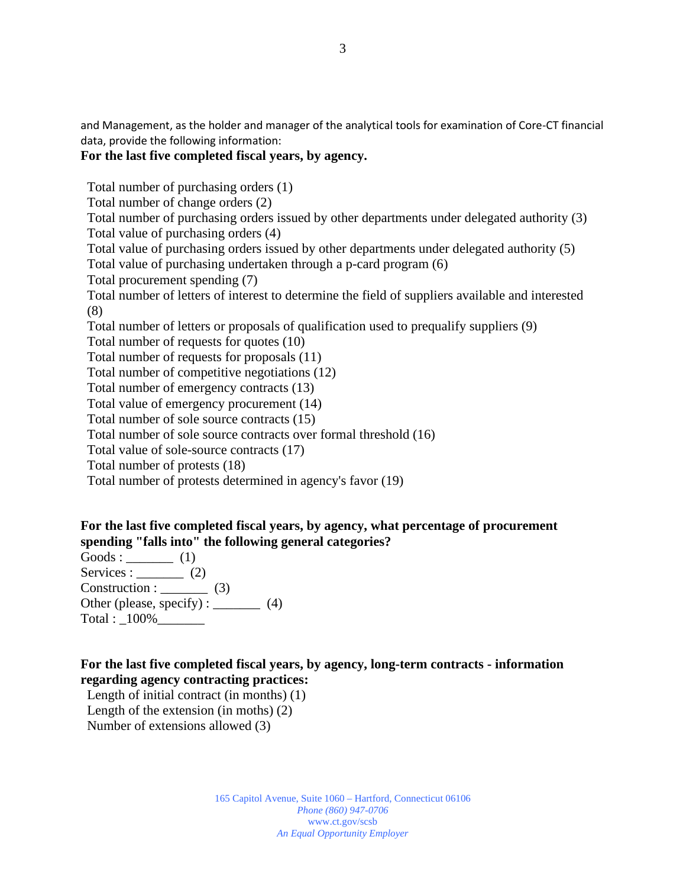and Management, as the holder and manager of the analytical tools for examination of Core-CT financial data, provide the following information:

#### **For the last five completed fiscal years, by agency.**

Total number of purchasing orders (1)

Total number of change orders (2)

Total number of purchasing orders issued by other departments under delegated authority (3) Total value of purchasing orders (4)

Total value of purchasing orders issued by other departments under delegated authority (5)

Total value of purchasing undertaken through a p-card program (6)

Total procurement spending (7)

Total number of letters of interest to determine the field of suppliers available and interested (8)

Total number of letters or proposals of qualification used to prequalify suppliers (9)

Total number of requests for quotes (10)

Total number of requests for proposals (11)

Total number of competitive negotiations (12)

Total number of emergency contracts (13)

Total value of emergency procurement (14)

Total number of sole source contracts (15)

Total number of sole source contracts over formal threshold (16)

Total value of sole-source contracts (17)

Total number of protests (18)

Total number of protests determined in agency's favor (19)

#### **For the last five completed fiscal years, by agency, what percentage of procurement spending "falls into" the following general categories?**

Goods :  $\qquad \qquad$  (1) Services :  $\qquad \qquad (2)$ Construction : (3) Other (please, specify) :  $\_\_$  (4) Total :  $100\%$ 

#### **For the last five completed fiscal years, by agency, long-term contracts - information regarding agency contracting practices:**

Length of initial contract (in months) (1) Length of the extension (in moths) (2) Number of extensions allowed (3)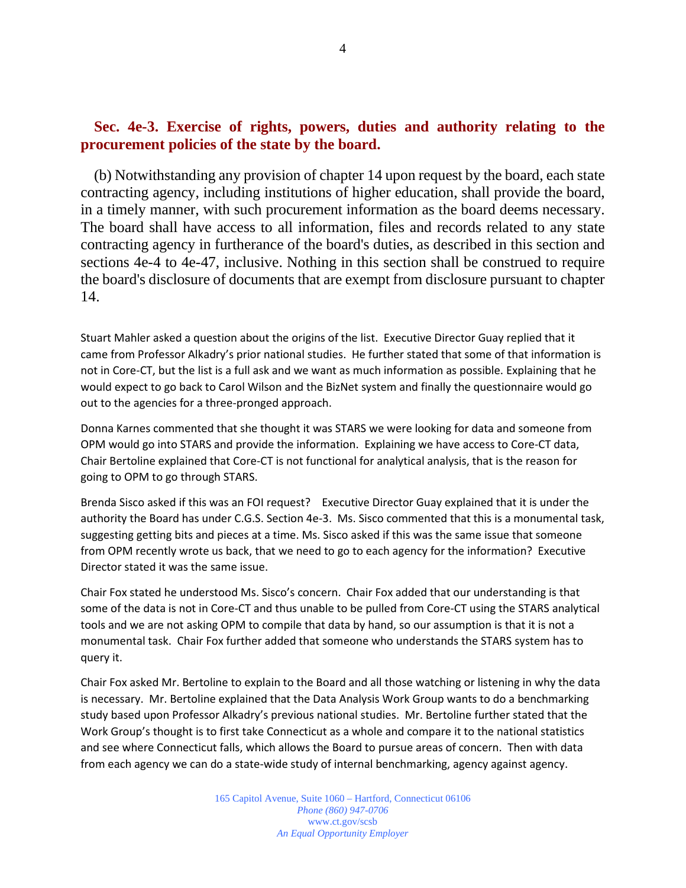# **Sec. 4e-3. Exercise of rights, powers, duties and authority relating to the procurement policies of the state by the board.**

(b) Notwithstanding any provision of chapter 14 upon request by the board, each state contracting agency, including institutions of higher education, shall provide the board, in a timely manner, with such procurement information as the board deems necessary. The board shall have access to all information, files and records related to any state contracting agency in furtherance of the board's duties, as described in this section and sections 4e-4 to 4e-47, inclusive. Nothing in this section shall be construed to require the board's disclosure of documents that are exempt from disclosure pursuant to chapter 14.

Stuart Mahler asked a question about the origins of the list. Executive Director Guay replied that it came from Professor Alkadry's prior national studies. He further stated that some of that information is not in Core-CT, but the list is a full ask and we want as much information as possible. Explaining that he would expect to go back to Carol Wilson and the BizNet system and finally the questionnaire would go out to the agencies for a three-pronged approach.

Donna Karnes commented that she thought it was STARS we were looking for data and someone from OPM would go into STARS and provide the information. Explaining we have access to Core-CT data, Chair Bertoline explained that Core-CT is not functional for analytical analysis, that is the reason for going to OPM to go through STARS.

Brenda Sisco asked if this was an FOI request? Executive Director Guay explained that it is under the authority the Board has under C.G.S. Section 4e-3. Ms. Sisco commented that this is a monumental task, suggesting getting bits and pieces at a time. Ms. Sisco asked if this was the same issue that someone from OPM recently wrote us back, that we need to go to each agency for the information? Executive Director stated it was the same issue.

Chair Fox stated he understood Ms. Sisco's concern. Chair Fox added that our understanding is that some of the data is not in Core-CT and thus unable to be pulled from Core-CT using the STARS analytical tools and we are not asking OPM to compile that data by hand, so our assumption is that it is not a monumental task. Chair Fox further added that someone who understands the STARS system has to query it.

Chair Fox asked Mr. Bertoline to explain to the Board and all those watching or listening in why the data is necessary. Mr. Bertoline explained that the Data Analysis Work Group wants to do a benchmarking study based upon Professor Alkadry's previous national studies. Mr. Bertoline further stated that the Work Group's thought is to first take Connecticut as a whole and compare it to the national statistics and see where Connecticut falls, which allows the Board to pursue areas of concern. Then with data from each agency we can do a state-wide study of internal benchmarking, agency against agency.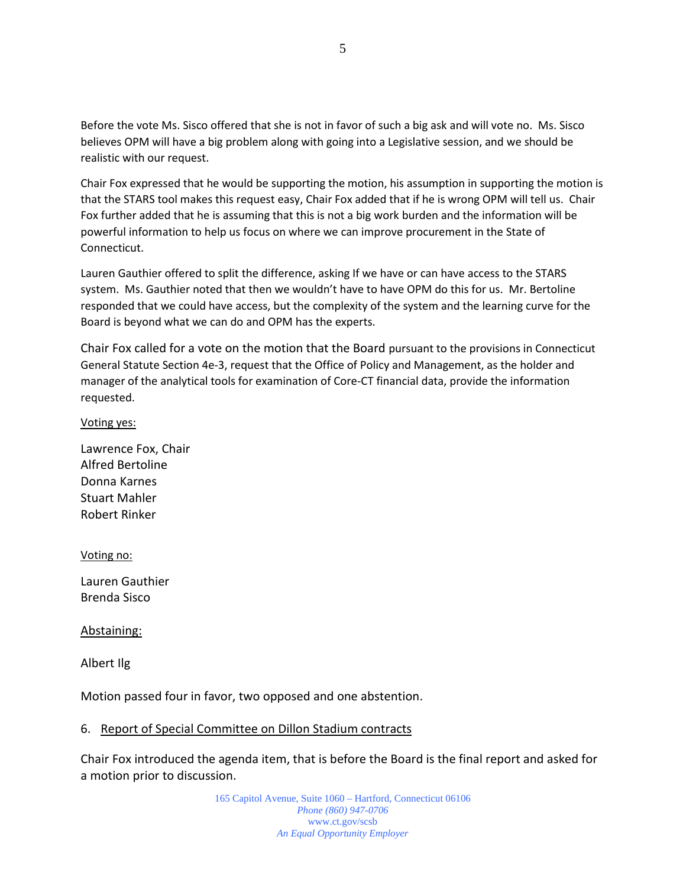Before the vote Ms. Sisco offered that she is not in favor of such a big ask and will vote no. Ms. Sisco believes OPM will have a big problem along with going into a Legislative session, and we should be realistic with our request.

Chair Fox expressed that he would be supporting the motion, his assumption in supporting the motion is that the STARS tool makes this request easy, Chair Fox added that if he is wrong OPM will tell us. Chair Fox further added that he is assuming that this is not a big work burden and the information will be powerful information to help us focus on where we can improve procurement in the State of Connecticut.

Lauren Gauthier offered to split the difference, asking If we have or can have access to the STARS system. Ms. Gauthier noted that then we wouldn't have to have OPM do this for us. Mr. Bertoline responded that we could have access, but the complexity of the system and the learning curve for the Board is beyond what we can do and OPM has the experts.

Chair Fox called for a vote on the motion that the Board pursuant to the provisions in Connecticut General Statute Section 4e-3, request that the Office of Policy and Management, as the holder and manager of the analytical tools for examination of Core-CT financial data, provide the information requested.

Voting yes:

Lawrence Fox, Chair Alfred Bertoline Donna Karnes Stuart Mahler Robert Rinker

Voting no:

Lauren Gauthier Brenda Sisco

Abstaining:

Albert Ilg

Motion passed four in favor, two opposed and one abstention.

#### 6. Report of Special Committee on Dillon Stadium contracts

Chair Fox introduced the agenda item, that is before the Board is the final report and asked for a motion prior to discussion.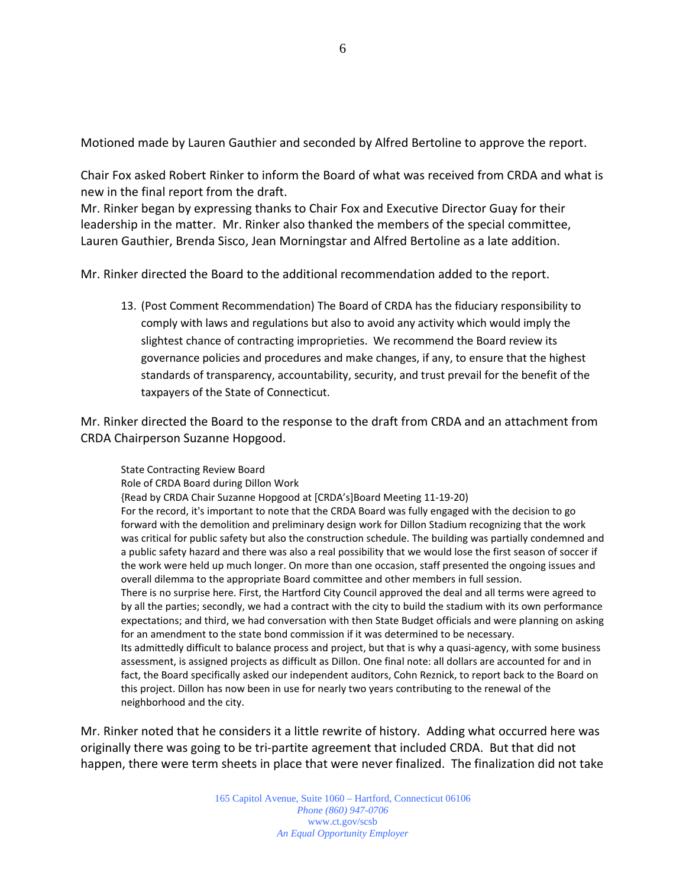Motioned made by Lauren Gauthier and seconded by Alfred Bertoline to approve the report.

Chair Fox asked Robert Rinker to inform the Board of what was received from CRDA and what is new in the final report from the draft.

Mr. Rinker began by expressing thanks to Chair Fox and Executive Director Guay for their leadership in the matter. Mr. Rinker also thanked the members of the special committee, Lauren Gauthier, Brenda Sisco, Jean Morningstar and Alfred Bertoline as a late addition.

Mr. Rinker directed the Board to the additional recommendation added to the report.

13. (Post Comment Recommendation) The Board of CRDA has the fiduciary responsibility to comply with laws and regulations but also to avoid any activity which would imply the slightest chance of contracting improprieties. We recommend the Board review its governance policies and procedures and make changes, if any, to ensure that the highest standards of transparency, accountability, security, and trust prevail for the benefit of the taxpayers of the State of Connecticut.

Mr. Rinker directed the Board to the response to the draft from CRDA and an attachment from CRDA Chairperson Suzanne Hopgood.

State Contracting Review Board Role of CRDA Board during Dillon Work {Read by CRDA Chair Suzanne Hopgood at [CRDA's]Board Meeting 11-19-20) For the record, it's important to note that the CRDA Board was fully engaged with the decision to go forward with the demolition and preliminary design work for Dillon Stadium recognizing that the work was critical for public safety but also the construction schedule. The building was partially condemned and a public safety hazard and there was also a real possibility that we would lose the first season of soccer if the work were held up much longer. On more than one occasion, staff presented the ongoing issues and overall dilemma to the appropriate Board committee and other members in full session. There is no surprise here. First, the Hartford City Council approved the deal and all terms were agreed to by all the parties; secondly, we had a contract with the city to build the stadium with its own performance expectations; and third, we had conversation with then State Budget officials and were planning on asking for an amendment to the state bond commission if it was determined to be necessary. Its admittedly difficult to balance process and project, but that is why a quasi-agency, with some business assessment, is assigned projects as difficult as Dillon. One final note: all dollars are accounted for and in fact, the Board specifically asked our independent auditors, Cohn Reznick, to report back to the Board on this project. Dillon has now been in use for nearly two years contributing to the renewal of the neighborhood and the city.

Mr. Rinker noted that he considers it a little rewrite of history. Adding what occurred here was originally there was going to be tri-partite agreement that included CRDA. But that did not happen, there were term sheets in place that were never finalized. The finalization did not take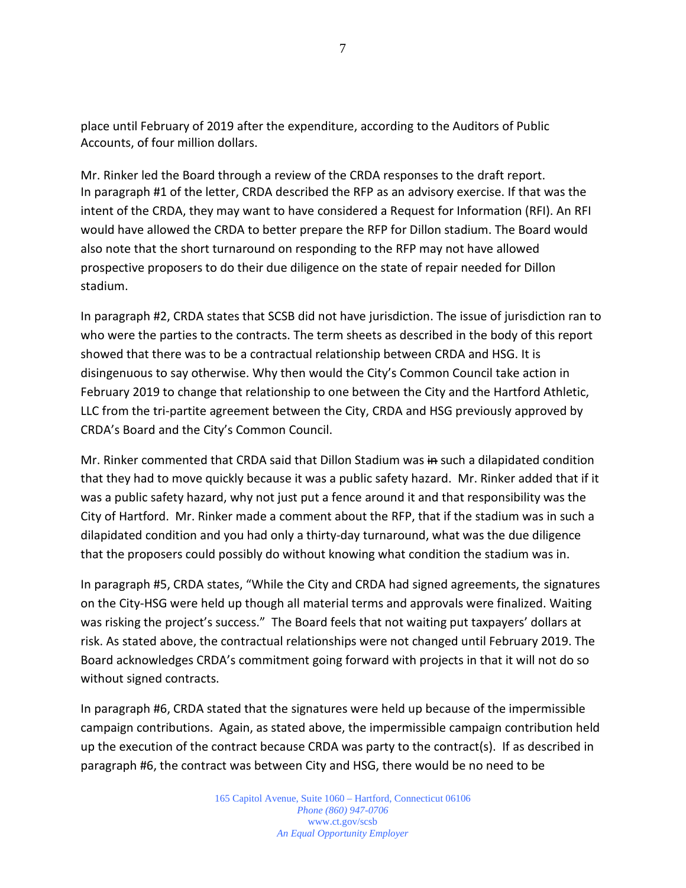place until February of 2019 after the expenditure, according to the Auditors of Public Accounts, of four million dollars.

Mr. Rinker led the Board through a review of the CRDA responses to the draft report. In paragraph #1 of the letter, CRDA described the RFP as an advisory exercise. If that was the intent of the CRDA, they may want to have considered a Request for Information (RFI). An RFI would have allowed the CRDA to better prepare the RFP for Dillon stadium. The Board would also note that the short turnaround on responding to the RFP may not have allowed prospective proposers to do their due diligence on the state of repair needed for Dillon stadium.

In paragraph #2, CRDA states that SCSB did not have jurisdiction. The issue of jurisdiction ran to who were the parties to the contracts. The term sheets as described in the body of this report showed that there was to be a contractual relationship between CRDA and HSG. It is disingenuous to say otherwise. Why then would the City's Common Council take action in February 2019 to change that relationship to one between the City and the Hartford Athletic, LLC from the tri-partite agreement between the City, CRDA and HSG previously approved by CRDA's Board and the City's Common Council.

Mr. Rinker commented that CRDA said that Dillon Stadium was in such a dilapidated condition that they had to move quickly because it was a public safety hazard. Mr. Rinker added that if it was a public safety hazard, why not just put a fence around it and that responsibility was the City of Hartford. Mr. Rinker made a comment about the RFP, that if the stadium was in such a dilapidated condition and you had only a thirty-day turnaround, what was the due diligence that the proposers could possibly do without knowing what condition the stadium was in.

In paragraph #5, CRDA states, "While the City and CRDA had signed agreements, the signatures on the City-HSG were held up though all material terms and approvals were finalized. Waiting was risking the project's success." The Board feels that not waiting put taxpayers' dollars at risk. As stated above, the contractual relationships were not changed until February 2019. The Board acknowledges CRDA's commitment going forward with projects in that it will not do so without signed contracts.

In paragraph #6, CRDA stated that the signatures were held up because of the impermissible campaign contributions. Again, as stated above, the impermissible campaign contribution held up the execution of the contract because CRDA was party to the contract(s). If as described in paragraph #6, the contract was between City and HSG, there would be no need to be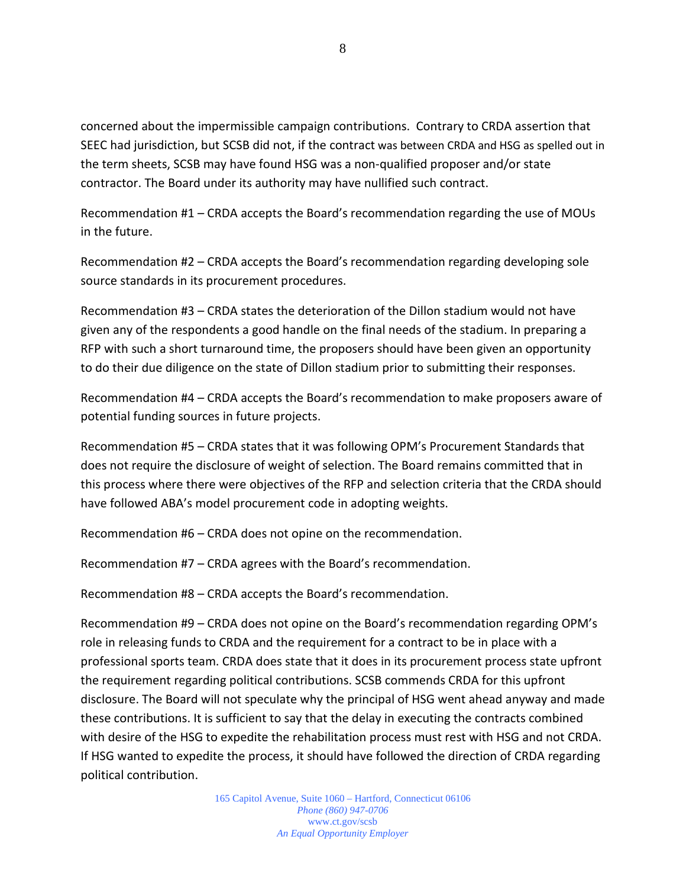concerned about the impermissible campaign contributions. Contrary to CRDA assertion that SEEC had jurisdiction, but SCSB did not, if the contract was between CRDA and HSG as spelled out in the term sheets, SCSB may have found HSG was a non-qualified proposer and/or state contractor. The Board under its authority may have nullified such contract.

Recommendation #1 – CRDA accepts the Board's recommendation regarding the use of MOUs in the future.

Recommendation #2 – CRDA accepts the Board's recommendation regarding developing sole source standards in its procurement procedures.

Recommendation #3 – CRDA states the deterioration of the Dillon stadium would not have given any of the respondents a good handle on the final needs of the stadium. In preparing a RFP with such a short turnaround time, the proposers should have been given an opportunity to do their due diligence on the state of Dillon stadium prior to submitting their responses.

Recommendation #4 – CRDA accepts the Board's recommendation to make proposers aware of potential funding sources in future projects.

Recommendation #5 – CRDA states that it was following OPM's Procurement Standards that does not require the disclosure of weight of selection. The Board remains committed that in this process where there were objectives of the RFP and selection criteria that the CRDA should have followed ABA's model procurement code in adopting weights.

Recommendation #6 – CRDA does not opine on the recommendation.

Recommendation #7 – CRDA agrees with the Board's recommendation.

Recommendation #8 – CRDA accepts the Board's recommendation.

Recommendation #9 – CRDA does not opine on the Board's recommendation regarding OPM's role in releasing funds to CRDA and the requirement for a contract to be in place with a professional sports team. CRDA does state that it does in its procurement process state upfront the requirement regarding political contributions. SCSB commends CRDA for this upfront disclosure. The Board will not speculate why the principal of HSG went ahead anyway and made these contributions. It is sufficient to say that the delay in executing the contracts combined with desire of the HSG to expedite the rehabilitation process must rest with HSG and not CRDA. If HSG wanted to expedite the process, it should have followed the direction of CRDA regarding political contribution.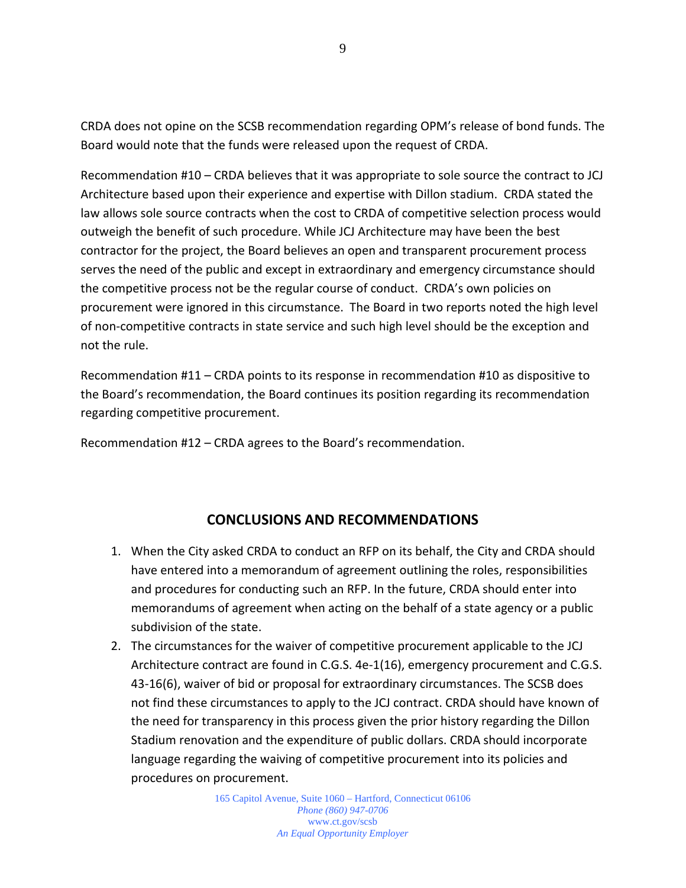CRDA does not opine on the SCSB recommendation regarding OPM's release of bond funds. The Board would note that the funds were released upon the request of CRDA.

Recommendation #10 – CRDA believes that it was appropriate to sole source the contract to JCJ Architecture based upon their experience and expertise with Dillon stadium. CRDA stated the law allows sole source contracts when the cost to CRDA of competitive selection process would outweigh the benefit of such procedure. While JCJ Architecture may have been the best contractor for the project, the Board believes an open and transparent procurement process serves the need of the public and except in extraordinary and emergency circumstance should the competitive process not be the regular course of conduct. CRDA's own policies on procurement were ignored in this circumstance. The Board in two reports noted the high level of non-competitive contracts in state service and such high level should be the exception and not the rule.

Recommendation #11 – CRDA points to its response in recommendation #10 as dispositive to the Board's recommendation, the Board continues its position regarding its recommendation regarding competitive procurement.

Recommendation #12 – CRDA agrees to the Board's recommendation.

# **CONCLUSIONS AND RECOMMENDATIONS**

- 1. When the City asked CRDA to conduct an RFP on its behalf, the City and CRDA should have entered into a memorandum of agreement outlining the roles, responsibilities and procedures for conducting such an RFP. In the future, CRDA should enter into memorandums of agreement when acting on the behalf of a state agency or a public subdivision of the state.
- 2. The circumstances for the waiver of competitive procurement applicable to the JCJ Architecture contract are found in C.G.S. 4e-1(16), emergency procurement and C.G.S. 43-16(6), waiver of bid or proposal for extraordinary circumstances. The SCSB does not find these circumstances to apply to the JCJ contract. CRDA should have known of the need for transparency in this process given the prior history regarding the Dillon Stadium renovation and the expenditure of public dollars. CRDA should incorporate language regarding the waiving of competitive procurement into its policies and procedures on procurement.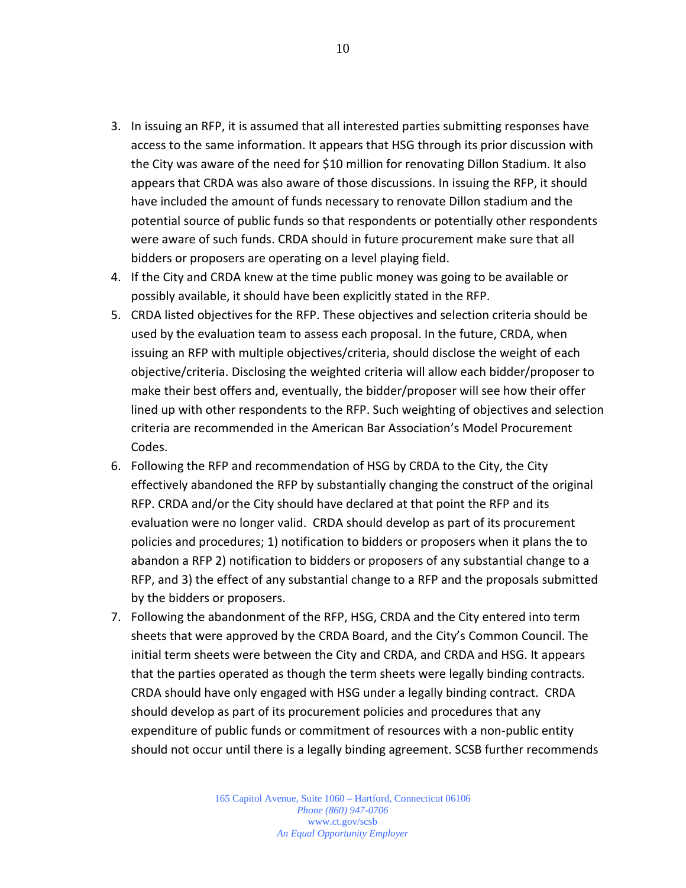- 3. In issuing an RFP, it is assumed that all interested parties submitting responses have access to the same information. It appears that HSG through its prior discussion with the City was aware of the need for \$10 million for renovating Dillon Stadium. It also appears that CRDA was also aware of those discussions. In issuing the RFP, it should have included the amount of funds necessary to renovate Dillon stadium and the potential source of public funds so that respondents or potentially other respondents were aware of such funds. CRDA should in future procurement make sure that all bidders or proposers are operating on a level playing field.
- 4. If the City and CRDA knew at the time public money was going to be available or possibly available, it should have been explicitly stated in the RFP.
- 5. CRDA listed objectives for the RFP. These objectives and selection criteria should be used by the evaluation team to assess each proposal. In the future, CRDA, when issuing an RFP with multiple objectives/criteria, should disclose the weight of each objective/criteria. Disclosing the weighted criteria will allow each bidder/proposer to make their best offers and, eventually, the bidder/proposer will see how their offer lined up with other respondents to the RFP. Such weighting of objectives and selection criteria are recommended in the American Bar Association's Model Procurement Codes.
- 6. Following the RFP and recommendation of HSG by CRDA to the City, the City effectively abandoned the RFP by substantially changing the construct of the original RFP. CRDA and/or the City should have declared at that point the RFP and its evaluation were no longer valid. CRDA should develop as part of its procurement policies and procedures; 1) notification to bidders or proposers when it plans the to abandon a RFP 2) notification to bidders or proposers of any substantial change to a RFP, and 3) the effect of any substantial change to a RFP and the proposals submitted by the bidders or proposers.
- 7. Following the abandonment of the RFP, HSG, CRDA and the City entered into term sheets that were approved by the CRDA Board, and the City's Common Council. The initial term sheets were between the City and CRDA, and CRDA and HSG. It appears that the parties operated as though the term sheets were legally binding contracts. CRDA should have only engaged with HSG under a legally binding contract. CRDA should develop as part of its procurement policies and procedures that any expenditure of public funds or commitment of resources with a non-public entity should not occur until there is a legally binding agreement. SCSB further recommends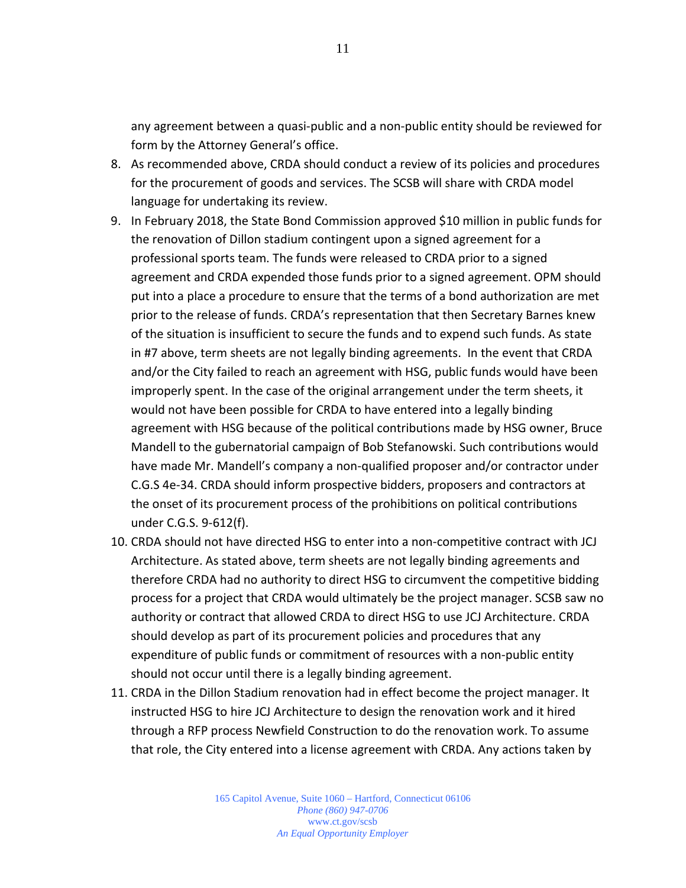any agreement between a quasi-public and a non-public entity should be reviewed for form by the Attorney General's office.

- 8. As recommended above, CRDA should conduct a review of its policies and procedures for the procurement of goods and services. The SCSB will share with CRDA model language for undertaking its review.
- 9. In February 2018, the State Bond Commission approved \$10 million in public funds for the renovation of Dillon stadium contingent upon a signed agreement for a professional sports team. The funds were released to CRDA prior to a signed agreement and CRDA expended those funds prior to a signed agreement. OPM should put into a place a procedure to ensure that the terms of a bond authorization are met prior to the release of funds. CRDA's representation that then Secretary Barnes knew of the situation is insufficient to secure the funds and to expend such funds. As state in #7 above, term sheets are not legally binding agreements. In the event that CRDA and/or the City failed to reach an agreement with HSG, public funds would have been improperly spent. In the case of the original arrangement under the term sheets, it would not have been possible for CRDA to have entered into a legally binding agreement with HSG because of the political contributions made by HSG owner, Bruce Mandell to the gubernatorial campaign of Bob Stefanowski. Such contributions would have made Mr. Mandell's company a non-qualified proposer and/or contractor under C.G.S 4e-34. CRDA should inform prospective bidders, proposers and contractors at the onset of its procurement process of the prohibitions on political contributions under C.G.S. 9-612(f).
- 10. CRDA should not have directed HSG to enter into a non-competitive contract with JCJ Architecture. As stated above, term sheets are not legally binding agreements and therefore CRDA had no authority to direct HSG to circumvent the competitive bidding process for a project that CRDA would ultimately be the project manager. SCSB saw no authority or contract that allowed CRDA to direct HSG to use JCJ Architecture. CRDA should develop as part of its procurement policies and procedures that any expenditure of public funds or commitment of resources with a non-public entity should not occur until there is a legally binding agreement.
- 11. CRDA in the Dillon Stadium renovation had in effect become the project manager. It instructed HSG to hire JCJ Architecture to design the renovation work and it hired through a RFP process Newfield Construction to do the renovation work. To assume that role, the City entered into a license agreement with CRDA. Any actions taken by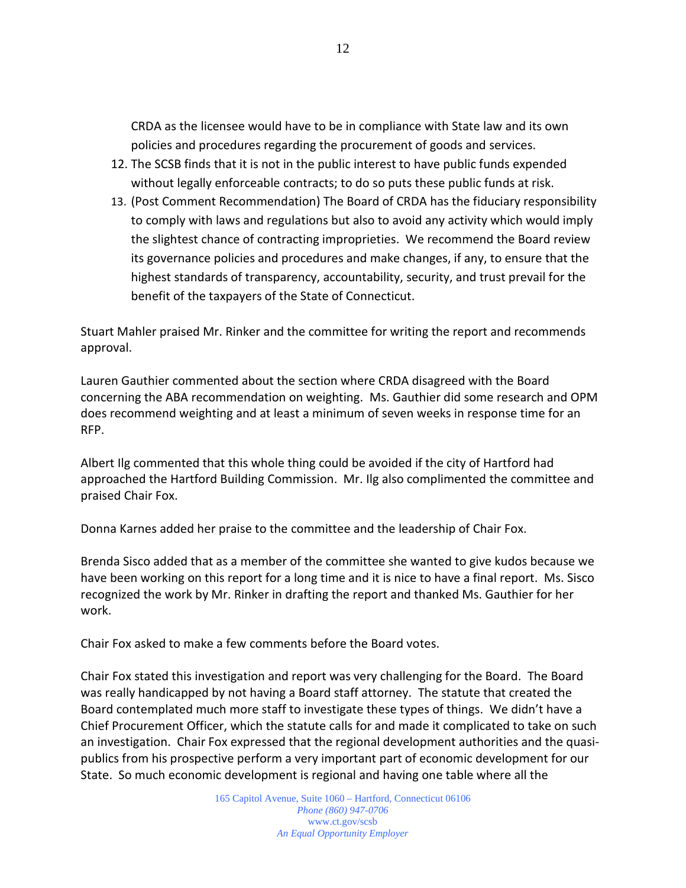CRDA as the licensee would have to be in compliance with State law and its own policies and procedures regarding the procurement of goods and services.

- 12. The SCSB finds that it is not in the public interest to have public funds expended without legally enforceable contracts; to do so puts these public funds at risk.
- 13. (Post Comment Recommendation) The Board of CRDA has the fiduciary responsibility to comply with laws and regulations but also to avoid any activity which would imply the slightest chance of contracting improprieties. We recommend the Board review its governance policies and procedures and make changes, if any, to ensure that the highest standards of transparency, accountability, security, and trust prevail for the benefit of the taxpayers of the State of Connecticut.

Stuart Mahler praised Mr. Rinker and the committee for writing the report and recommends approval.

Lauren Gauthier commented about the section where CRDA disagreed with the Board concerning the ABA recommendation on weighting. Ms. Gauthier did some research and OPM does recommend weighting and at least a minimum of seven weeks in response time for an RFP.

Albert Ilg commented that this whole thing could be avoided if the city of Hartford had approached the Hartford Building Commission. Mr. Ilg also complimented the committee and praised Chair Fox.

Donna Karnes added her praise to the committee and the leadership of Chair Fox.

Brenda Sisco added that as a member of the committee she wanted to give kudos because we have been working on this report for a long time and it is nice to have a final report. Ms. Sisco recognized the work by Mr. Rinker in drafting the report and thanked Ms. Gauthier for her work.

Chair Fox asked to make a few comments before the Board votes.

Chair Fox stated this investigation and report was very challenging for the Board. The Board was really handicapped by not having a Board staff attorney. The statute that created the Board contemplated much more staff to investigate these types of things. We didn't have a Chief Procurement Officer, which the statute calls for and made it complicated to take on such an investigation. Chair Fox expressed that the regional development authorities and the quasipublics from his prospective perform a very important part of economic development for our State. So much economic development is regional and having one table where all the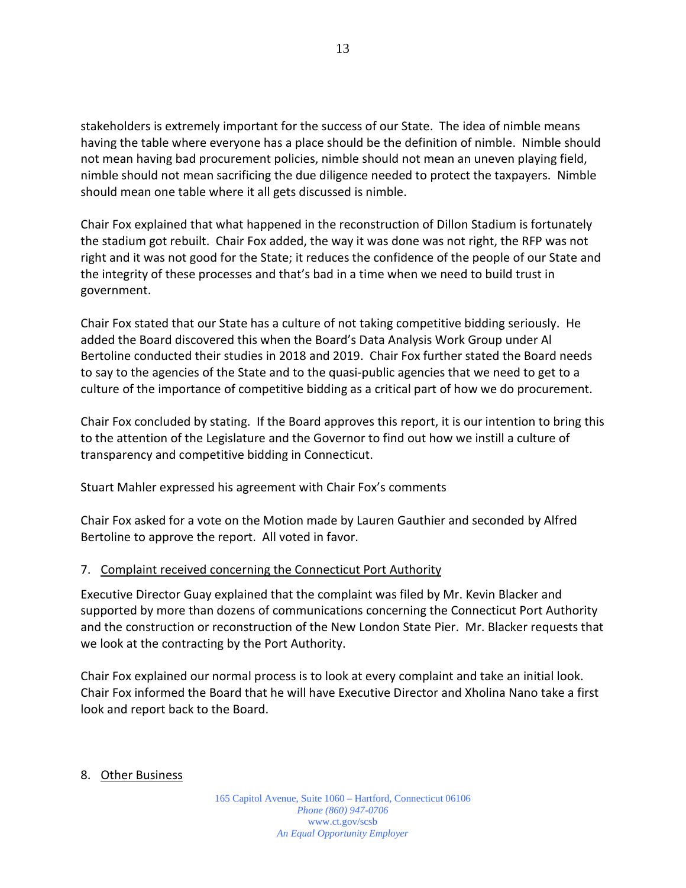stakeholders is extremely important for the success of our State. The idea of nimble means having the table where everyone has a place should be the definition of nimble. Nimble should not mean having bad procurement policies, nimble should not mean an uneven playing field, nimble should not mean sacrificing the due diligence needed to protect the taxpayers. Nimble should mean one table where it all gets discussed is nimble.

Chair Fox explained that what happened in the reconstruction of Dillon Stadium is fortunately the stadium got rebuilt. Chair Fox added, the way it was done was not right, the RFP was not right and it was not good for the State; it reduces the confidence of the people of our State and the integrity of these processes and that's bad in a time when we need to build trust in government.

Chair Fox stated that our State has a culture of not taking competitive bidding seriously. He added the Board discovered this when the Board's Data Analysis Work Group under Al Bertoline conducted their studies in 2018 and 2019. Chair Fox further stated the Board needs to say to the agencies of the State and to the quasi-public agencies that we need to get to a culture of the importance of competitive bidding as a critical part of how we do procurement.

Chair Fox concluded by stating. If the Board approves this report, it is our intention to bring this to the attention of the Legislature and the Governor to find out how we instill a culture of transparency and competitive bidding in Connecticut.

Stuart Mahler expressed his agreement with Chair Fox's comments

Chair Fox asked for a vote on the Motion made by Lauren Gauthier and seconded by Alfred Bertoline to approve the report. All voted in favor.

# 7. Complaint received concerning the Connecticut Port Authority

Executive Director Guay explained that the complaint was filed by Mr. Kevin Blacker and supported by more than dozens of communications concerning the Connecticut Port Authority and the construction or reconstruction of the New London State Pier. Mr. Blacker requests that we look at the contracting by the Port Authority.

Chair Fox explained our normal process is to look at every complaint and take an initial look. Chair Fox informed the Board that he will have Executive Director and Xholina Nano take a first look and report back to the Board.

# 8. Other Business